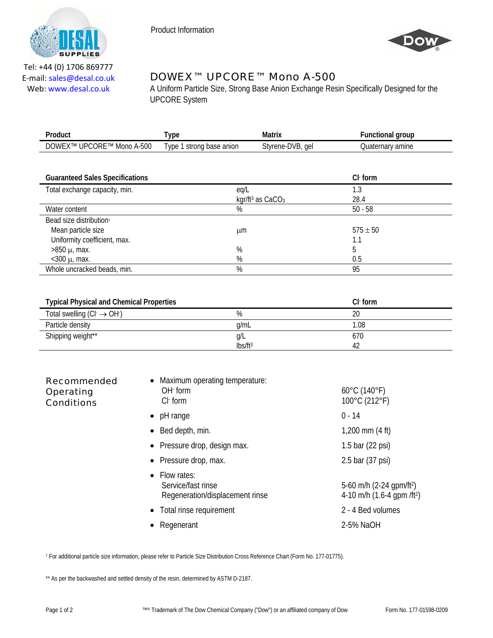

Product Information



Tel: +44 (0) 1706 869777 E‐mail: sales@desal.co.uk Web: www.desal.co.uk

## DOWEX™ UPCORE™ Mono A-500

A Uniform Particle Size, Strong Base Anion Exchange Resin Specifically Designed for the UPCORE System

| Product                   | 'ype                     | Matrix           | <b>Functional group</b> |
|---------------------------|--------------------------|------------------|-------------------------|
| DOWEX™ UPCORE™ Mono A-500 | Type 1 strong base anion | Styrene-DVB, gel | Quaternarv amine        |
|                           |                          |                  |                         |

| <b>Guaranteed Sales Specifications</b> |                                | $Cl1$ form   |  |
|----------------------------------------|--------------------------------|--------------|--|
| Total exchange capacity, min.          | eq/L                           | 1.3          |  |
|                                        | kgr/ft <sup>3</sup> as $CaCO3$ | 28.4         |  |
| Water content                          | %                              | $50 - 58$    |  |
| Bead size distribution <sup>+</sup>    |                                |              |  |
| Mean particle size                     | μm                             | $575 \pm 50$ |  |
| Uniformity coefficient, max.           |                                | 1.1          |  |
| $>850 \mu$ , max.                      | %                              |              |  |
| $<$ 300 $\mu$ , max.                   | %                              | 0.5          |  |
| Whole uncracked beads, min.            | %                              | 95           |  |

| <b>Typical Physical and Chemical Properties</b> |               | $Cl1$ form |
|-------------------------------------------------|---------------|------------|
| Total swelling $(Cl \rightarrow OH)$            | %             | 20         |
| Particle density                                | g/mL          | 1.08       |
| Shipping weight**                               | g/L           | 670        |
|                                                 | $\frac{1}{2}$ |            |

| <b>Recommended</b><br>Operating<br><b>Conditions</b> | Maximum operating temperature:<br>$OH$ form<br>$Cl1$ form              | $60^{\circ}$ C (140 $^{\circ}$ F)<br>100°C (212°F)                                 |
|------------------------------------------------------|------------------------------------------------------------------------|------------------------------------------------------------------------------------|
|                                                      | pH range<br>$\bullet$                                                  | $0 - 14$                                                                           |
|                                                      | Bed depth, min.                                                        | 1,200 mm $(4 \text{ ft})$                                                          |
|                                                      | • Pressure drop, design max.                                           | 1.5 bar $(22 \text{ psi})$                                                         |
|                                                      | • Pressure drop, max.                                                  | 2.5 bar (37 psi)                                                                   |
|                                                      | • Flow rates:<br>Service/fast rinse<br>Regeneration/displacement rinse | 5-60 m/h $(2-24$ gpm/ft <sup>2</sup> )<br>4-10 m/h $(1.6-4$ qpm /ft <sup>2</sup> ) |
|                                                      | Total rinse requirement<br>$\bullet$                                   | 2 - 4 Bed volumes                                                                  |
|                                                      | Regenerant                                                             | 2-5% NaOH                                                                          |

† For additional particle size information, please refer to Particle Size Distribution Cross Reference Chart (Form No. 177-01775).

\*\* As per the backwashed and settled density of the resin, determined by ASTM D-2187.